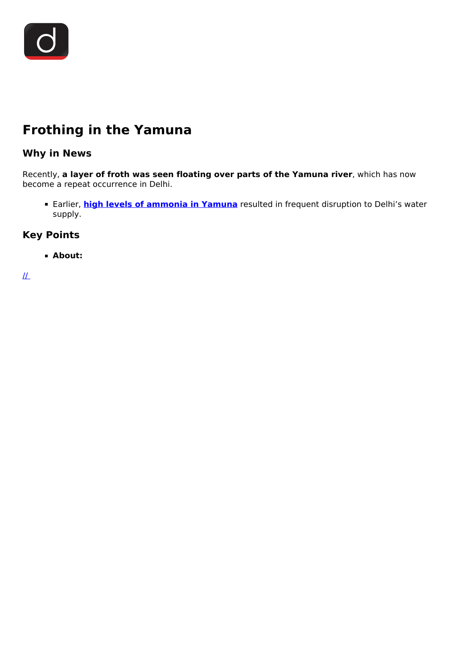

# **Frothing in the Yamuna**

## **Why in News**

Recently, **a layer of froth was seen floating over parts of the Yamuna river**, which has now become a repeat occurrence in Delhi.

Earlier, **[high levels of ammonia in Yamuna](/daily-updates/daily-news-analysis/supreme-court-s-view-on-pollution-in-yamuna)** resulted in frequent disruption to Delhi's water supply.

### **Key Points**

#### **About:**

 $\mathcal{L}$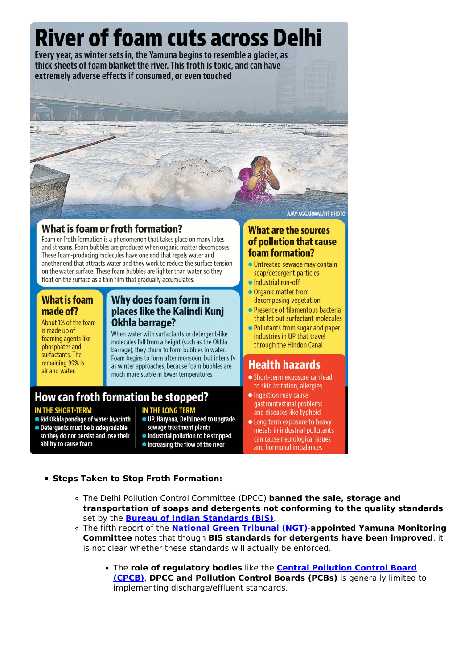

## **What is foam or froth formation?**

Foam or froth formation is a phenomenon that takes place on many lakes and streams. Foam bubbles are produced when organic matter decomposes. These foam-producing molecules have one end that repels water and another end that attracts water and they work to reduce the surface tension on the water surface. These foam bubbles are lighter than water, so they float on the surface as a thin film that gradually accumulates.

#### **What is foam** made of?

About 1% of the foam is made up of foaming agents like phosphates and surfactants. The remaining 99% is air and water.

### Why does foam form in places like the Kalindi Kuni Okhla barrage?

When water with surfactants or detergent-like molecules fall from a height (such as the Okhla barrage), they churn to form bubbles in water. Foam begins to form after monsoon, but intensify as winter approaches, because foam bubbles are much more stable in lower temperatures

**IN THE LONG TERM** 

How can froth formation be stopped?

#### **IN THE SHORT-TERM**

• Rid Okhla pondage of water hyacinth • Detergents must be biodegradable

#### sewage treatment plants so they do not persist and lose their • Industrial pollution to be stopped ability to cause foam

• Increasing the flow of the river

● UP, Haryana, Delhi need to upgrade

AJAY AGGARWAL/HT PHOTO

#### **What are the sources** of pollution that cause foam formation?

- · Untreated sewage may contain soap/detergent particles
- · Industrial run-off
- Organic matter from decomposing vegetation
- Presence of filamentous bacteria that let out surfactant molecules
- Pollutants from sugar and paper industries in UP that travel through the Hindon Canal

## **Health hazards**

- Short-term exposure can lead to skin irritation, allergies
- Ingestion may cause gastrointestinal problems and diseases like typhoid
- Long term exposure to heavy metals in industrial pollutants can cause neurological issues and hormonal imbalances

#### **Example 1 Steps Taken to Stop Froth Formation:**

- . The Delhi Pollution Control Committee (DPCC) banned the sale, storage and transportation of soaps and detergents not conforming to the quality standards set by the **Bureau of Indian Standards (BIS)**.
- ∘ The fifth report of the National Green Tribunal (NGT)-appointed Yamuna Monitoring Committee notes that though BIS standards for detergents have been improved, it is not clear whether these standards will actually be enforced.
	- . The role of regulatory bodies like the **Central Pollution Control Board** (CPCB), DPCC and Pollution Control Boards (PCBs) is generally limited to implementing discharge/effluent standards.